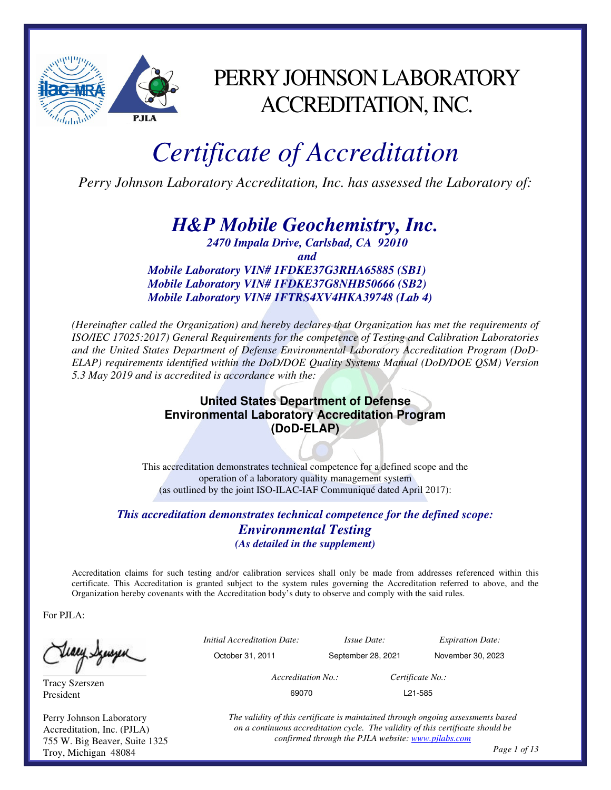

## PERRY JOHNSON LABORATORY ACCREDITATION, INC.

# *Certificate of Accreditation*

*Perry Johnson Laboratory Accreditation, Inc. has assessed the Laboratory of:* 

## *H&P Mobile Geochemistry, Inc.*

*2470 Impala Drive, Carlsbad, CA 92010* 

*and* 

*Mobile Laboratory VIN# 1FDKE37G3RHA65885 (SB1) Mobile Laboratory VIN# 1FDKE37G8NHB50666 (SB2) Mobile Laboratory VIN# 1FTRS4XV4HKA39748 (Lab 4)* 

*(Hereinafter called the Organization) and hereby declares that Organization has met the requirements of ISO/IEC 17025:2017) General Requirements for the competence of Testing and Calibration Laboratories and the United States Department of Defense Environmental Laboratory Accreditation Program (DoD-ELAP) requirements identified within the DoD/DOE Quality Systems Manual (DoD/DOE QSM) Version 5.3 May 2019 and is accredited is accordance with the:* 

#### **United States Department of Defense Environmental Laboratory Accreditation Program (DoD-ELAP)**

This accreditation demonstrates technical competence for a defined scope and the operation of a laboratory quality management system (as outlined by the joint ISO-ILAC-IAF Communiqué dated April 2017):

#### *This accreditation demonstrates technical competence for the defined scope: Environmental Testing (As detailed in the supplement)*

Accreditation claims for such testing and/or calibration services shall only be made from addresses referenced within this certificate. This Accreditation is granted subject to the system rules governing the Accreditation referred to above, and the Organization hereby covenants with the Accreditation body's duty to observe and comply with the said rules.

For PJLA:

Tracy Szerszen President

Perry Johnson Laboratory Accreditation, Inc. (PJLA) 755 W. Big Beaver, Suite 1325 Troy, Michigan 48084

 *Initial Accreditation Date: Issue Date: Expiration Date:*  October 31, 2011 September 28, 2021 November 30, 2023

 *Accreditation No.: Certificate No.:* 

69070 L21-585

*The validity of this certificate is maintained through ongoing assessments based on a continuous accreditation cycle. The validity of this certificate should be confirmed through the PJLA website: www.pjlabs.com*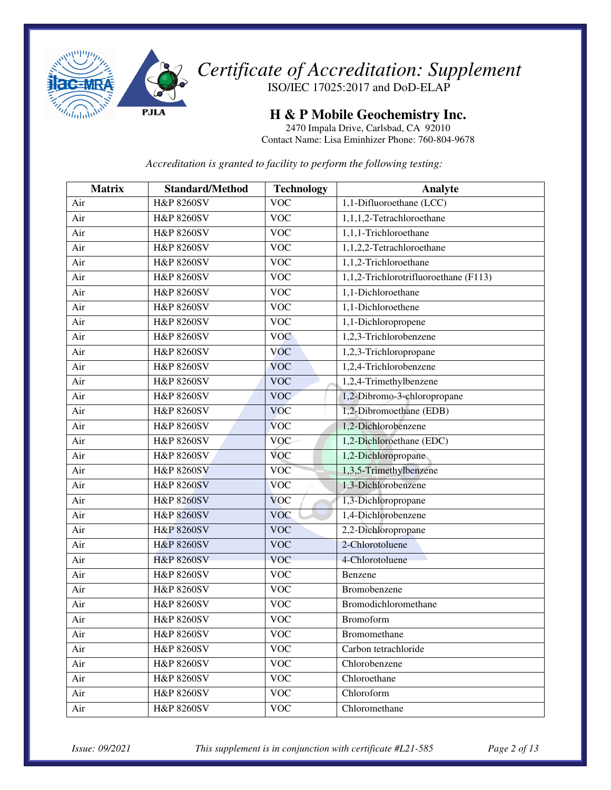

**H & P Mobile Geochemistry Inc.** 

2470 Impala Drive, Carlsbad, CA 92010 Contact Name: Lisa Eminhizer Phone: 760-804-9678

*Accreditation is granted to facility to perform the following testing:*

| <b>Matrix</b> | <b>Standard/Method</b> | <b>Technology</b> | Analyte                               |
|---------------|------------------------|-------------------|---------------------------------------|
| Air           | <b>H&amp;P 8260SV</b>  | <b>VOC</b>        | 1,1-Difluoroethane (LCC)              |
| Air           | <b>H&amp;P 8260SV</b>  | <b>VOC</b>        | 1,1,1,2-Tetrachloroethane             |
| Air           | H&P 8260SV             | <b>VOC</b>        | 1,1,1-Trichloroethane                 |
| Air           | <b>H&amp;P 8260SV</b>  | <b>VOC</b>        | 1,1,2,2-Tetrachloroethane             |
| Air           | <b>H&amp;P 8260SV</b>  | <b>VOC</b>        | 1,1,2-Trichloroethane                 |
| Air           | <b>H&amp;P 8260SV</b>  | <b>VOC</b>        | 1,1,2-Trichlorotrifluoroethane (F113) |
| Air           | <b>H&amp;P 8260SV</b>  | <b>VOC</b>        | 1,1-Dichloroethane                    |
| Air           | <b>H&amp;P 8260SV</b>  | <b>VOC</b>        | 1,1-Dichloroethene                    |
| Air           | <b>H&amp;P 8260SV</b>  | <b>VOC</b>        | 1,1-Dichloropropene                   |
| Air           | <b>H&amp;P 8260SV</b>  | <b>VOC</b>        | 1,2,3-Trichlorobenzene                |
| Air           | <b>H&amp;P 8260SV</b>  | <b>VOC</b>        | 1,2,3-Trichloropropane                |
| Air           | <b>H&amp;P 8260SV</b>  | <b>VOC</b>        | 1,2,4-Trichlorobenzene                |
| Air           | <b>H&amp;P 8260SV</b>  | <b>VOC</b>        | 1,2,4-Trimethylbenzene                |
| Air           | <b>H&amp;P 8260SV</b>  | <b>VOC</b>        | 1,2-Dibromo-3-chloropropane           |
| Air           | <b>H&amp;P 8260SV</b>  | <b>VOC</b>        | 1,2-Dibromoethane (EDB)               |
| Air           | <b>H&amp;P 8260SV</b>  | <b>VOC</b>        | 1,2-Dichlorobenzene                   |
| Air           | <b>H&amp;P 8260SV</b>  | <b>VOC</b>        | 1,2-Dichloroethane (EDC)              |
| Air           | <b>H&amp;P 8260SV</b>  | <b>VOC</b>        | 1,2-Dichloropropane                   |
| Air           | <b>H&amp;P 8260SV</b>  | <b>VOC</b>        | 1,3,5-Trimethylbenzene                |
| Air           | <b>H&amp;P 8260SV</b>  | <b>VOC</b>        | 1,3-Dichlorobenzene                   |
| Air           | <b>H&amp;P 8260SV</b>  | <b>VOC</b>        | 1,3-Dichloropropane                   |
| Air           | <b>H&amp;P 8260SV</b>  | <b>VOC</b>        | 1,4-Dichlorobenzene                   |
| Air           | <b>H&amp;P 8260SV</b>  | <b>VOC</b>        | 2,2-Dichloropropane                   |
| Air           | <b>H&amp;P 8260SV</b>  | <b>VOC</b>        | 2-Chlorotoluene                       |
| Air           | <b>H&amp;P 8260SV</b>  | <b>VOC</b>        | 4-Chlorotoluene                       |
| Air           | <b>H&amp;P 8260SV</b>  | <b>VOC</b>        | Benzene                               |
| Air           | <b>H&amp;P 8260SV</b>  | <b>VOC</b>        | Bromobenzene                          |
| Air           | <b>H&amp;P 8260SV</b>  | <b>VOC</b>        | Bromodichloromethane                  |
| Air           | <b>H&amp;P 8260SV</b>  | <b>VOC</b>        | Bromoform                             |
| Air           | H&P 8260SV             | <b>VOC</b>        | Bromomethane                          |
| Air           | <b>H&amp;P 8260SV</b>  | <b>VOC</b>        | Carbon tetrachloride                  |
| Air           | H&P 8260SV             | <b>VOC</b>        | Chlorobenzene                         |
| Air           | <b>H&amp;P 8260SV</b>  | <b>VOC</b>        | Chloroethane                          |
| Air           | <b>H&amp;P 8260SV</b>  | <b>VOC</b>        | Chloroform                            |
| Air           | <b>H&amp;P 8260SV</b>  | <b>VOC</b>        | Chloromethane                         |

*Issue: 09/2021 This supplement is in conjunction with certificate #L21-585 Page 2 of 13*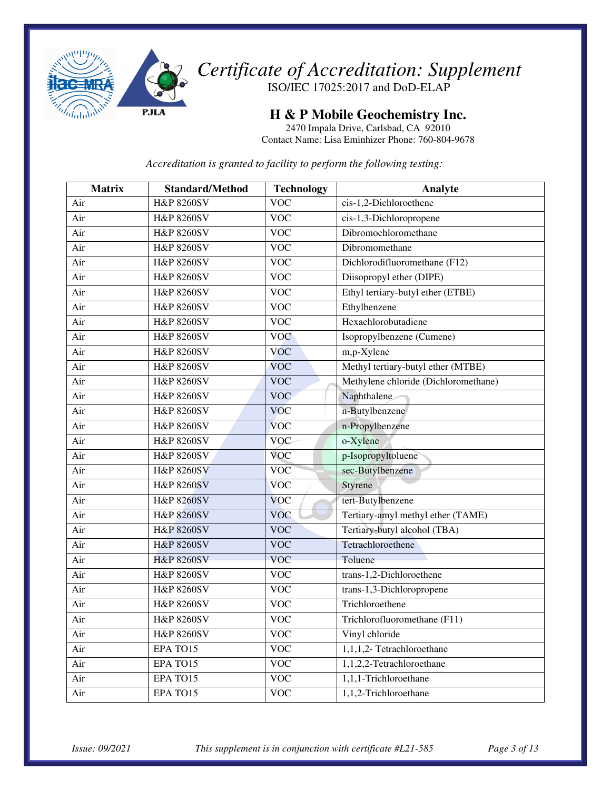

**H & P Mobile Geochemistry Inc.** 

2470 Impala Drive, Carlsbad, CA 92010 Contact Name: Lisa Eminhizer Phone: 760-804-9678

*Accreditation is granted to facility to perform the following testing:*

| <b>Matrix</b> | <b>Standard/Method</b> | <b>Technology</b> | Analyte                              |
|---------------|------------------------|-------------------|--------------------------------------|
| Air           | <b>H&amp;P 8260SV</b>  | <b>VOC</b>        | cis-1,2-Dichloroethene               |
| Air           | <b>H&amp;P 8260SV</b>  | <b>VOC</b>        | cis-1,3-Dichloropropene              |
| Air           | <b>H&amp;P 8260SV</b>  | <b>VOC</b>        | Dibromochloromethane                 |
| Air           | <b>H&amp;P 8260SV</b>  | <b>VOC</b>        | Dibromomethane                       |
| Air           | <b>H&amp;P 8260SV</b>  | <b>VOC</b>        | Dichlorodifluoromethane (F12)        |
| Air           | <b>H&amp;P 8260SV</b>  | <b>VOC</b>        | Diisopropyl ether (DIPE)             |
| Air           | <b>H&amp;P 8260SV</b>  | <b>VOC</b>        | Ethyl tertiary-butyl ether (ETBE)    |
| Air           | <b>H&amp;P 8260SV</b>  | <b>VOC</b>        | Ethylbenzene                         |
| Air           | <b>H&amp;P 8260SV</b>  | $\overline{VOC}$  | Hexachlorobutadiene                  |
| Air           | <b>H&amp;P 8260SV</b>  | <b>VOC</b>        | Isopropylbenzene (Cumene)            |
| Air           | <b>H&amp;P 8260SV</b>  | <b>VOC</b>        | $m, p$ -Xylene                       |
| Air           | <b>H&amp;P 8260SV</b>  | <b>VOC</b>        | Methyl tertiary-butyl ether (MTBE)   |
| Air           | <b>H&amp;P 8260SV</b>  | <b>VOC</b>        | Methylene chloride (Dichloromethane) |
| Air           | <b>H&amp;P 8260SV</b>  | <b>VOC</b>        | Naphthalene                          |
| Air           | <b>H&amp;P 8260SV</b>  | <b>VOC</b>        | n-Butylbenzene                       |
| Air           | <b>H&amp;P 8260SV</b>  | <b>VOC</b>        | n-Propylbenzene                      |
| Air           | <b>H&amp;P 8260SV</b>  | <b>VOC</b>        | o-Xylene                             |
| Air           | <b>H&amp;P 8260SV</b>  | <b>VOC</b>        | p-Isopropyltoluene                   |
| Air           | <b>H&amp;P 8260SV</b>  | <b>VOC</b>        | sec-Butylbenzene                     |
| Air           | <b>H&amp;P 8260SV</b>  | <b>VOC</b>        | Styrene                              |
| Air           | <b>H&amp;P 8260SV</b>  | <b>VOC</b>        | tert-Butylbenzene                    |
| Air           | <b>H&amp;P 8260SV</b>  | <b>VOC</b>        | Tertiary-amyl methyl ether (TAME)    |
| Air           | <b>H&amp;P 8260SV</b>  | <b>VOC</b>        | Tertiary-butyl alcohol (TBA)         |
| Air           | <b>H&amp;P 8260SV</b>  | <b>VOC</b>        | Tetrachloroethene                    |
| Air           | <b>H&amp;P 8260SV</b>  | <b>VOC</b>        | Toluene                              |
| Air           | <b>H&amp;P 8260SV</b>  | <b>VOC</b>        | trans-1,2-Dichloroethene             |
| Air           | <b>H&amp;P 8260SV</b>  | <b>VOC</b>        | trans-1,3-Dichloropropene            |
| Air           | <b>H&amp;P 8260SV</b>  | <b>VOC</b>        | Trichloroethene                      |
| Air           | <b>H&amp;P 8260SV</b>  | <b>VOC</b>        | Trichlorofluoromethane (F11)         |
| Air           | <b>H&amp;P 8260SV</b>  | <b>VOC</b>        | Vinyl chloride                       |
| Air           | EPA TO15               | <b>VOC</b>        | 1,1,1,2- Tetrachloroethane           |
| Air           | EPA TO15               | <b>VOC</b>        | 1,1,2,2-Tetrachloroethane            |
| Air           | EPA TO15               | <b>VOC</b>        | 1,1,1-Trichloroethane                |
| Air           | EPA TO15               | <b>VOC</b>        | 1,1,2-Trichloroethane                |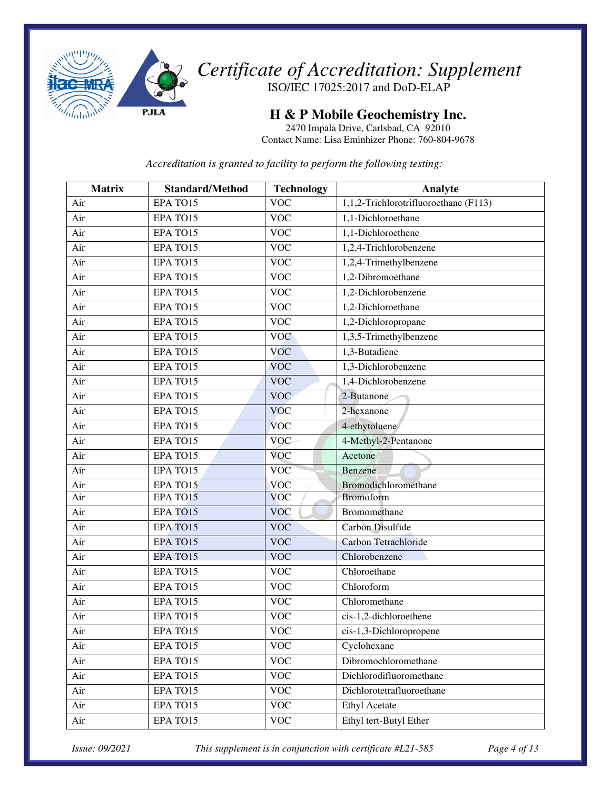

**H & P Mobile Geochemistry Inc.** 

2470 Impala Drive, Carlsbad, CA 92010 Contact Name: Lisa Eminhizer Phone: 760-804-9678

*Accreditation is granted to facility to perform the following testing:*

| <b>Matrix</b> | <b>Standard/Method</b> | <b>Technology</b> | Analyte                               |
|---------------|------------------------|-------------------|---------------------------------------|
| Air           | EPA TO15               | <b>VOC</b>        | 1,1,2-Trichlorotrifluoroethane (F113) |
| Air           | EPA TO15               | <b>VOC</b>        | 1,1-Dichloroethane                    |
| Air           | EPA TO15               | <b>VOC</b>        | 1,1-Dichloroethene                    |
| Air           | EPA TO15               | <b>VOC</b>        | 1,2,4-Trichlorobenzene                |
| Air           | EPA TO15               | <b>VOC</b>        | 1,2,4-Trimethylbenzene                |
| Air           | EPA TO15               | <b>VOC</b>        | 1,2-Dibromoethane                     |
| Air           | EPA TO15               | <b>VOC</b>        | 1,2-Dichlorobenzene                   |
| Air           | EPA TO15               | <b>VOC</b>        | 1,2-Dichloroethane                    |
| Air           | EPA TO15               | <b>VOC</b>        | 1,2-Dichloropropane                   |
| Air           | EPA TO15               | <b>VOC</b>        | 1,3,5-Trimethylbenzene                |
| Air           | EPA TO15               | <b>VOC</b>        | 1,3-Butadiene                         |
| Air           | EPA TO15               | <b>VOC</b>        | 1,3-Dichlorobenzene                   |
| Air           | EPA TO15               | <b>VOC</b>        | 1,4-Dichlorobenzene                   |
| Air           | EPA TO15               | <b>VOC</b>        | 2-Butanone                            |
| Air           | EPA TO15               | <b>VOC</b>        | 2-hexanone                            |
| Air           | EPA TO15               | <b>VOC</b>        | 4-ethytoluene                         |
| Air           | EPA TO15               | <b>VOC</b>        | 4-Methyl-2-Pentanone                  |
| Air           | EPA TO15               | <b>VOC</b>        | Acetone                               |
| Air           | EPA TO15               | <b>VOC</b>        | Benzene                               |
| Air           | EPA TO15               | <b>VOC</b>        | Bromodichloromethane                  |
| Air           | EPA TO15               | <b>VOC</b>        | <b>Bromoform</b>                      |
| Air           | EPA TO15               | <b>VOC</b>        | Bromomethane                          |
| Air           | EPA TO15               | <b>VOC</b>        | Carbon Disulfide                      |
| Air           | EPA TO15               | <b>VOC</b>        | Carbon Tetrachloride                  |
| Air           | EPA TO15               | <b>VOC</b>        | Chlorobenzene                         |
| Air           | EPA TO15               | <b>VOC</b>        | Chloroethane                          |
| Air           | EPA TO15               | <b>VOC</b>        | Chloroform                            |
| Air           | EPA TO15               | <b>VOC</b>        | Chloromethane                         |
| Air           | EPA TO15               | <b>VOC</b>        | cis-1,2-dichloroethene                |
| Air           | EPA TO15               | <b>VOC</b>        | cis-1,3-Dichloropropene               |
| Air           | EPA TO15               | <b>VOC</b>        | Cyclohexane                           |
| Air           | EPA TO15               | <b>VOC</b>        | Dibromochloromethane                  |
| Air           | EPA TO15               | <b>VOC</b>        | Dichlorodifluoromethane               |
| Air           | EPA TO15               | <b>VOC</b>        | Dichlorotetrafluoroethane             |
| Air           | EPA TO15               | <b>VOC</b>        | <b>Ethyl Acetate</b>                  |
| Air           | EPA TO15               | <b>VOC</b>        | Ethyl tert-Butyl Ether                |

*Issue: 09/2021 This supplement is in conjunction with certificate #L21-585 Page 4 of 13*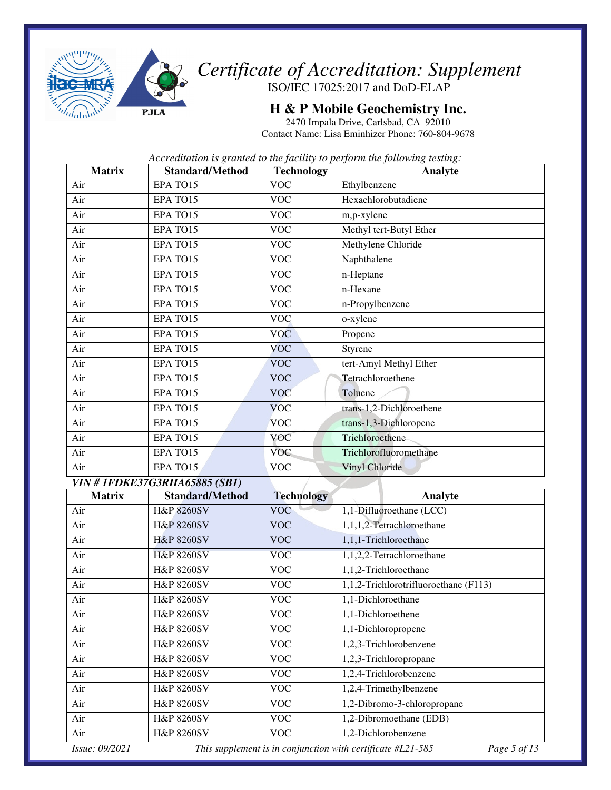

**H & P Mobile Geochemistry Inc.** 

2470 Impala Drive, Carlsbad, CA 92010 Contact Name: Lisa Eminhizer Phone: 760-804-9678

*Accreditation is granted to the facility to perform the following testing:* 

| <b>Matrix</b> | <b>Standard/Method</b>               | <b>Technology</b> | Analyte                       |
|---------------|--------------------------------------|-------------------|-------------------------------|
| Air           | EPA TO15                             | <b>VOC</b>        | Ethylbenzene                  |
| Air           | EPA TO15                             | <b>VOC</b>        | Hexachlorobutadiene           |
| Air           | EPA TO15                             | <b>VOC</b>        | m,p-xylene                    |
| Air           | EPA TO15                             | <b>VOC</b>        | Methyl tert-Butyl Ether       |
| Air           | EPA TO15                             | <b>VOC</b>        | Methylene Chloride            |
| Air           | EPA TO15                             | <b>VOC</b>        | Naphthalene                   |
| Air           | EPA TO15                             | <b>VOC</b>        | n-Heptane                     |
| Air           | EPA TO15                             | <b>VOC</b>        | n-Hexane                      |
| Air           | EPA TO15                             | <b>VOC</b>        | n-Propylbenzene               |
| Air           | EPA TO15                             | <b>VOC</b>        | o-xylene                      |
| Air           | EPA TO15                             | <b>VOC</b>        | Propene                       |
| Air           | EPA TO15                             | <b>VOC</b>        | Styrene                       |
| Air           | EPA TO <sub>15</sub>                 | <b>VOC</b>        | tert-Amyl Methyl Ether        |
| Air           | EPA TO15                             | <b>VOC</b>        | Tetrachloroethene             |
| Air           | EPA TO15                             | <b>VOC</b>        | Toluene                       |
| Air           | EPA TO15                             | <b>VOC</b>        | trans-1,2-Dichloroethene      |
| Air           | EPA TO15                             | <b>VOC</b>        | trans-1,3-Dichloropene        |
| Air           | EPA TO15                             | <b>VOC</b>        | Trichloroethene               |
| Air           | EPA TO15                             | <b>VOC</b>        | Trichlorofluoromethane        |
| Air           | EPA TO15                             | <b>VOC</b>        | Vinyl Chloride                |
|               | <b>VIN # 1FDKE37G3RHA65885 (SB1)</b> |                   |                               |
| <b>Matrix</b> | <b>Standard/Method</b>               | <b>Technology</b> | Analyte                       |
| Air           | <b>H&amp;P 8260SV</b>                | <b>VOC</b>        | 1,1-Difluoroethane (LCC)      |
| Air           | <b>H&amp;P 8260SV</b>                | <b>VOC</b>        | 1,1,1,2-Tetrachloroethane     |
| Air           | <b>H&amp;P 8260SV</b>                | <b>VOC</b>        | 1,1,1-Trichloroethane         |
| Air           | <b>H&amp;P 8260SV</b>                | <b>VOC</b>        | 1,1,2,2-Tetrachloroethane     |
| $\cdot$       | TT0 D02001                           | $\sqrt{2}$        | $1.10 \text{ m} \cdot 11 = 1$ |

| Air | <b>H&amp;P 8260SV</b> | <b>VOC</b> | 1,1,2-Trichloroethane                 |
|-----|-----------------------|------------|---------------------------------------|
| Air | <b>H&amp;P 8260SV</b> | <b>VOC</b> | 1,1,2-Trichlorotrifluoroethane (F113) |
| Air | <b>H&amp;P 8260SV</b> | VOC.       | 1,1-Dichloroethane                    |
| Air | <b>H&amp;P 8260SV</b> | <b>VOC</b> | 1,1-Dichloroethene                    |
| Air | <b>H&amp;P 8260SV</b> | VOC.       | 1,1-Dichloropropene                   |
| Air | <b>H&amp;P 8260SV</b> | VOC.       | 1,2,3-Trichlorobenzene                |
| Air | <b>H&amp;P 8260SV</b> | <b>VOC</b> | 1,2,3-Trichloropropane                |
| Air | <b>H&amp;P 8260SV</b> | <b>VOC</b> | 1,2,4-Trichlorobenzene                |
| Air | <b>H&amp;P 8260SV</b> | <b>VOC</b> | 1,2,4-Trimethylbenzene                |
| Air | <b>H&amp;P 8260SV</b> | VOC.       | 1,2-Dibromo-3-chloropropane           |
| Air | <b>H&amp;P 8260SV</b> | VOC.       | 1,2-Dibromoethane (EDB)               |
| Air | <b>H&amp;P 8260SV</b> | <b>VOC</b> | 1.2-Dichlorobenzene                   |
|     |                       |            |                                       |

*Issue: 09/2021 This supplement is in conjunction with certificate #L21-585 Page 5 of 13*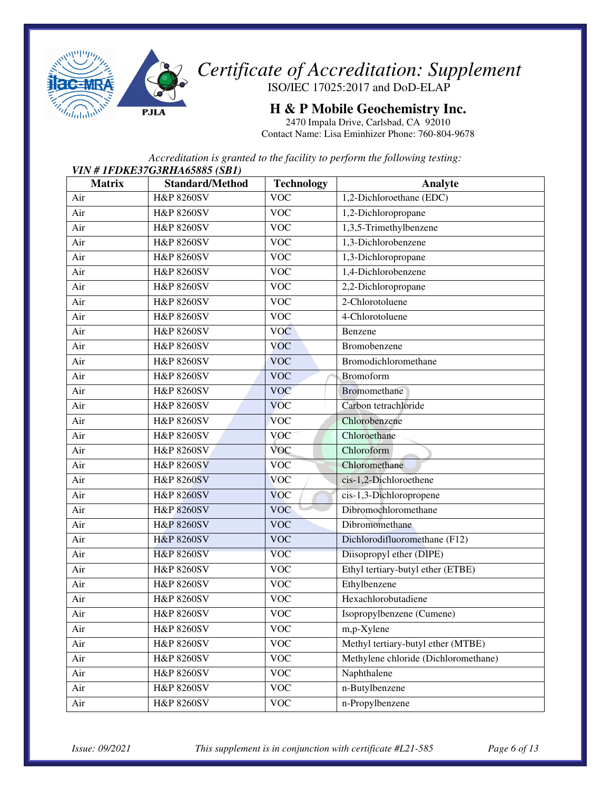

ISO/IEC 17025:2017 and DoD-ELAP

#### **H & P Mobile Geochemistry Inc.**

2470 Impala Drive, Carlsbad, CA 92010 Contact Name: Lisa Eminhizer Phone: 760-804-9678

*Accreditation is granted to the facility to perform the following testing:* 

| <b>VIN # 1FDKE37G3RHA65885 (SB1)</b> |                        |                   |                                      |  |
|--------------------------------------|------------------------|-------------------|--------------------------------------|--|
| <b>Matrix</b>                        | <b>Standard/Method</b> | <b>Technology</b> | Analyte                              |  |
| Air                                  | <b>H&amp;P 8260SV</b>  | <b>VOC</b>        | 1,2-Dichloroethane (EDC)             |  |
| Air                                  | H&P 8260SV             | <b>VOC</b>        | 1,2-Dichloropropane                  |  |
| Air                                  | <b>H&amp;P 8260SV</b>  | <b>VOC</b>        | 1,3,5-Trimethylbenzene               |  |
| Air                                  | <b>H&amp;P 8260SV</b>  | <b>VOC</b>        | 1,3-Dichlorobenzene                  |  |
| Air                                  | <b>H&amp;P 8260SV</b>  | <b>VOC</b>        | 1,3-Dichloropropane                  |  |
| Air                                  | H&P 8260SV             | <b>VOC</b>        | 1,4-Dichlorobenzene                  |  |
| Air                                  | <b>H&amp;P 8260SV</b>  | <b>VOC</b>        | 2,2-Dichloropropane                  |  |
| Air                                  | <b>H&amp;P 8260SV</b>  | <b>VOC</b>        | 2-Chlorotoluene                      |  |
| Air                                  | <b>H&amp;P 8260SV</b>  | <b>VOC</b>        | 4-Chlorotoluene                      |  |
| Air                                  | <b>H&amp;P 8260SV</b>  | <b>VOC</b>        | Benzene                              |  |
| Air                                  | <b>H&amp;P 8260SV</b>  | <b>VOC</b>        | Bromobenzene                         |  |
| Air                                  | <b>H&amp;P 8260SV</b>  | <b>VOC</b>        | Bromodichloromethane                 |  |
| Air                                  | <b>H&amp;P 8260SV</b>  | <b>VOC</b>        | Bromoform                            |  |
| Air                                  | <b>H&amp;P 8260SV</b>  | <b>VOC</b>        | Bromomethane                         |  |
| Air                                  | <b>H&amp;P 8260SV</b>  | <b>VOC</b>        | Carbon tetrachloride                 |  |
| Air                                  | <b>H&amp;P 8260SV</b>  | <b>VOC</b>        | Chlorobenzene                        |  |
| Air                                  | H&P 8260SV             | <b>VOC</b>        | Chloroethane                         |  |
| Air                                  | <b>H&amp;P 8260SV</b>  | <b>VOC</b>        | Chloroform                           |  |
| Air                                  | <b>H&amp;P 8260SV</b>  | <b>VOC</b>        | Chloromethane                        |  |
| Air                                  | <b>H&amp;P 8260SV</b>  | <b>VOC</b>        | cis-1,2-Dichloroethene               |  |
| Air                                  | <b>H&amp;P 8260SV</b>  | <b>VOC</b>        | cis-1,3-Dichloropropene              |  |
| Air                                  | <b>H&amp;P 8260SV</b>  | <b>VOC</b>        | Dibromochloromethane                 |  |
| Air                                  | <b>H&amp;P 8260SV</b>  | <b>VOC</b>        | Dibromomethane                       |  |
| Air                                  | <b>H&amp;P 8260SV</b>  | <b>VOC</b>        | Dichlorodifluoromethane (F12)        |  |
| Air                                  | <b>H&amp;P 8260SV</b>  | <b>VOC</b>        | Diisopropyl ether (DIPE)             |  |
| Air                                  | <b>H&amp;P 8260SV</b>  | <b>VOC</b>        | Ethyl tertiary-butyl ether (ETBE)    |  |
| Air                                  | <b>H&amp;P 8260SV</b>  | <b>VOC</b>        | Ethylbenzene                         |  |
| Air                                  | <b>H&amp;P 8260SV</b>  | <b>VOC</b>        | Hexachlorobutadiene                  |  |
| Air                                  | <b>H&amp;P 8260SV</b>  | <b>VOC</b>        | Isopropylbenzene (Cumene)            |  |
| Air                                  | <b>H&amp;P 8260SV</b>  | <b>VOC</b>        | m,p-Xylene                           |  |
| Air                                  | <b>H&amp;P 8260SV</b>  | <b>VOC</b>        | Methyl tertiary-butyl ether (MTBE)   |  |
| Air                                  | <b>H&amp;P 8260SV</b>  | <b>VOC</b>        | Methylene chloride (Dichloromethane) |  |
| Air                                  | <b>H&amp;P 8260SV</b>  | <b>VOC</b>        | Naphthalene                          |  |
| Air                                  | <b>H&amp;P 8260SV</b>  | <b>VOC</b>        | n-Butylbenzene                       |  |
| Air                                  | <b>H&amp;P 8260SV</b>  | <b>VOC</b>        | n-Propylbenzene                      |  |

*Issue: 09/2021 This supplement is in conjunction with certificate #L21-585 Page 6 of 13*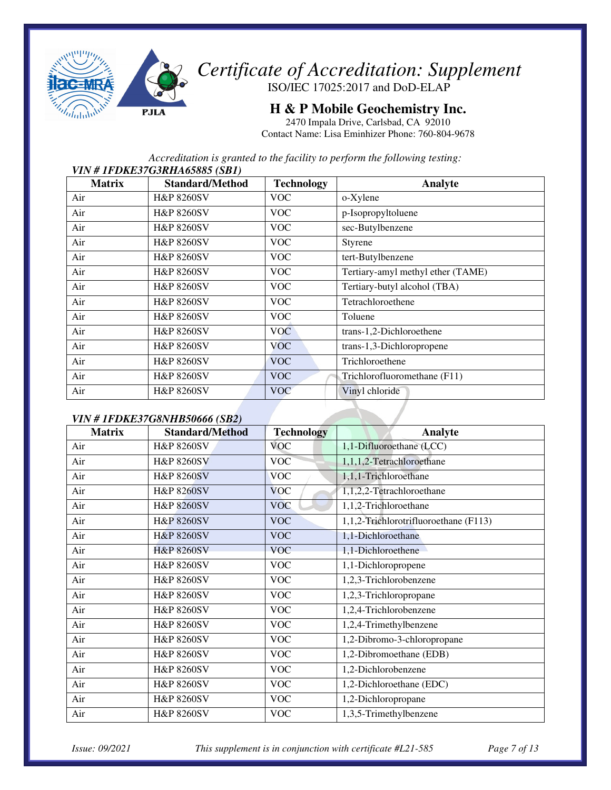

ISO/IEC 17025:2017 and DoD-ELAP

#### **H & P Mobile Geochemistry Inc.**

2470 Impala Drive, Carlsbad, CA 92010 Contact Name: Lisa Eminhizer Phone: 760-804-9678

*Accreditation is granted to the facility to perform the following testing:* 

#### *VIN # 1FDKE37G3RHA65885 (SB1)*

| <b>Matrix</b>                 | <b>Standard/Method</b> | <b>Technology</b> | Analyte                           |
|-------------------------------|------------------------|-------------------|-----------------------------------|
| Air                           | <b>H&amp;P 8260SV</b>  | <b>VOC</b>        | o-Xylene                          |
| Air                           | <b>H&amp;P 8260SV</b>  | <b>VOC</b>        | p-Isopropyltoluene                |
| Air                           | <b>H&amp;P 8260SV</b>  | <b>VOC</b>        | sec-Butylbenzene                  |
| Air                           | <b>H&amp;P 8260SV</b>  | <b>VOC</b>        | Styrene                           |
| Air                           | <b>H&amp;P 8260SV</b>  | <b>VOC</b>        | tert-Butylbenzene                 |
| Air                           | <b>H&amp;P 8260SV</b>  | <b>VOC</b>        | Tertiary-amyl methyl ether (TAME) |
| Air                           | <b>H&amp;P 8260SV</b>  | <b>VOC</b>        | Tertiary-butyl alcohol (TBA)      |
| Air                           | <b>H&amp;P 8260SV</b>  | <b>VOC</b>        | Tetrachloroethene                 |
| Air                           | <b>H&amp;P 8260SV</b>  | <b>VOC</b>        | Toluene                           |
| Air                           | <b>H&amp;P 8260SV</b>  | <b>VOC</b>        | trans-1,2-Dichloroethene          |
| Air                           | <b>H&amp;P 8260SV</b>  | <b>VOC</b>        | trans-1,3-Dichloropropene         |
| Air                           | <b>H&amp;P 8260SV</b>  | <b>VOC</b>        | Trichloroethene                   |
| Air                           | <b>H&amp;P 8260SV</b>  | <b>VOC</b>        | Trichlorofluoromethane (F11)      |
| Air                           | <b>H&amp;P 8260SV</b>  | <b>VOC</b>        | Vinyl chloride                    |
| VIN # 1FDKF37G8NHR50666 (SR2) |                        |                   |                                   |

#### *VIN # 1FDKE37G8NHB50666 (SB2)*

| <b>Matrix</b> | <b>Standard/Method</b> | <b>Technology</b> | Analyte                               |
|---------------|------------------------|-------------------|---------------------------------------|
| Air           | <b>H&amp;P 8260SV</b>  | <b>VOC</b>        | 1,1-Difluoroethane (LCC)              |
| Air           | <b>H&amp;P 8260SV</b>  | <b>VOC</b>        | 1,1,1,2-Tetrachloroethane             |
| Air           | <b>H&amp;P 8260SV</b>  | <b>VOC</b>        | 1,1,1-Trichloroethane                 |
| Air           | <b>H&amp;P 8260SV</b>  | <b>VOC</b>        | 1,1,2,2-Tetrachloroethane             |
| Air           | <b>H&amp;P 8260SV</b>  | <b>VOC</b>        | 1,1,2-Trichloroethane                 |
| Air           | <b>H&amp;P 8260SV</b>  | <b>VOC</b>        | 1,1,2-Trichlorotrifluoroethane (F113) |
| Air           | <b>H&amp;P 8260SV</b>  | <b>VOC</b>        | 1,1-Dichloroethane                    |
| Air           | <b>H&amp;P 8260SV</b>  | <b>VOC</b>        | 1,1-Dichloroethene                    |
| Air           | <b>H&amp;P 8260SV</b>  | <b>VOC</b>        | 1,1-Dichloropropene                   |
| Air           | <b>H&amp;P 8260SV</b>  | <b>VOC</b>        | 1,2,3-Trichlorobenzene                |
| Air           | <b>H&amp;P 8260SV</b>  | <b>VOC</b>        | 1,2,3-Trichloropropane                |
| Air           | H&P 8260SV             | <b>VOC</b>        | 1,2,4-Trichlorobenzene                |
| Air           | <b>H&amp;P 8260SV</b>  | <b>VOC</b>        | 1,2,4-Trimethylbenzene                |
| Air           | <b>H&amp;P 8260SV</b>  | <b>VOC</b>        | 1,2-Dibromo-3-chloropropane           |
| Air           | <b>H&amp;P 8260SV</b>  | <b>VOC</b>        | 1,2-Dibromoethane (EDB)               |
| Air           | <b>H&amp;P 8260SV</b>  | <b>VOC</b>        | 1,2-Dichlorobenzene                   |
| Air           | <b>H&amp;P 8260SV</b>  | <b>VOC</b>        | 1,2-Dichloroethane (EDC)              |
| Air           | <b>H&amp;P 8260SV</b>  | <b>VOC</b>        | 1,2-Dichloropropane                   |
| Air           | H&P 8260SV             | <b>VOC</b>        | 1,3,5-Trimethylbenzene                |

*Issue: 09/2021 This supplement is in conjunction with certificate #L21-585 Page 7 of 13*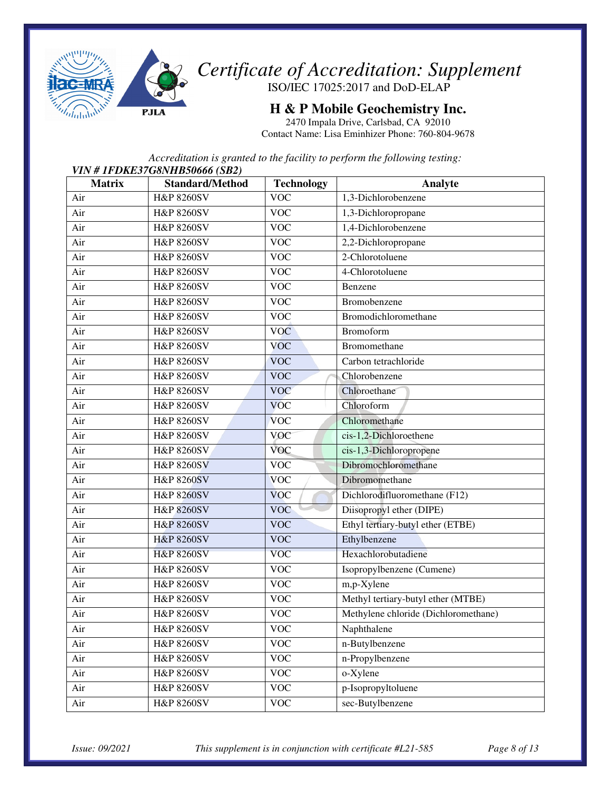

ISO/IEC 17025:2017 and DoD-ELAP

**H & P Mobile Geochemistry Inc.** 

2470 Impala Drive, Carlsbad, CA 92010 Contact Name: Lisa Eminhizer Phone: 760-804-9678

*Accreditation is granted to the facility to perform the following testing:* 

| <b>VIN # 1FDKE37G8NHB50666 (SB2)</b> |                        |                   |                                      |  |
|--------------------------------------|------------------------|-------------------|--------------------------------------|--|
| <b>Matrix</b>                        | <b>Standard/Method</b> | <b>Technology</b> | Analyte                              |  |
| Air                                  | <b>H&amp;P 8260SV</b>  | <b>VOC</b>        | 1,3-Dichlorobenzene                  |  |
| Air                                  | H&P 8260SV             | <b>VOC</b>        | 1,3-Dichloropropane                  |  |
| Air                                  | <b>H&amp;P 8260SV</b>  | <b>VOC</b>        | 1,4-Dichlorobenzene                  |  |
| Air                                  | <b>H&amp;P 8260SV</b>  | <b>VOC</b>        | 2,2-Dichloropropane                  |  |
| Air                                  | <b>H&amp;P 8260SV</b>  | <b>VOC</b>        | 2-Chlorotoluene                      |  |
| Air                                  | <b>H&amp;P 8260SV</b>  | <b>VOC</b>        | 4-Chlorotoluene                      |  |
| Air                                  | <b>H&amp;P 8260SV</b>  | <b>VOC</b>        | Benzene                              |  |
| Air                                  | <b>H&amp;P 8260SV</b>  | <b>VOC</b>        | Bromobenzene                         |  |
| Air                                  | <b>H&amp;P 8260SV</b>  | <b>VOC</b>        | Bromodichloromethane                 |  |
| Air                                  | <b>H&amp;P 8260SV</b>  | <b>VOC</b>        | <b>Bromoform</b>                     |  |
| Air                                  | <b>H&amp;P 8260SV</b>  | <b>VOC</b>        | Bromomethane                         |  |
| Air                                  | <b>H&amp;P 8260SV</b>  | <b>VOC</b>        | Carbon tetrachloride                 |  |
| Air                                  | <b>H&amp;P 8260SV</b>  | <b>VOC</b>        | Chlorobenzene                        |  |
| Air                                  | <b>H&amp;P 8260SV</b>  | <b>VOC</b>        | Chloroethane                         |  |
| Air                                  | <b>H&amp;P 8260SV</b>  | <b>VOC</b>        | Chloroform                           |  |
| Air                                  | <b>H&amp;P 8260SV</b>  | <b>VOC</b>        | Chloromethane                        |  |
| Air                                  | <b>H&amp;P 8260SV</b>  | <b>VOC</b>        | cis-1,2-Dichloroethene               |  |
| Air                                  | <b>H&amp;P 8260SV</b>  | <b>VOC</b>        | cis-1,3-Dichloropropene              |  |
| Air                                  | <b>H&amp;P 8260SV</b>  | <b>VOC</b>        | Dibromochloromethane                 |  |
| Air                                  | <b>H&amp;P 8260SV</b>  | <b>VOC</b>        | Dibromomethane                       |  |
| Air                                  | <b>H&amp;P 8260SV</b>  | <b>VOC</b>        | Dichlorodifluoromethane (F12)        |  |
| Air                                  | <b>H&amp;P 8260SV</b>  | <b>VOC</b>        | Diisopropyl ether (DIPE)             |  |
| Air                                  | <b>H&amp;P 8260SV</b>  | <b>VOC</b>        | Ethyl tertiary-butyl ether (ETBE)    |  |
| Air                                  | <b>H&amp;P 8260SV</b>  | <b>VOC</b>        | Ethylbenzene                         |  |
| Air                                  | <b>H&amp;P 8260SV</b>  | <b>VOC</b>        | Hexachlorobutadiene                  |  |
| Air                                  | <b>H&amp;P 8260SV</b>  | <b>VOC</b>        | Isopropylbenzene (Cumene)            |  |
| Air                                  | <b>H&amp;P 8260SV</b>  | <b>VOC</b>        | m,p-Xylene                           |  |
| Air                                  | <b>H&amp;P 8260SV</b>  | <b>VOC</b>        | Methyl tertiary-butyl ether (MTBE)   |  |
| Air                                  | <b>H&amp;P 8260SV</b>  | $\overline{V}OC$  | Methylene chloride (Dichloromethane) |  |
| Air                                  | H&P 8260SV             | <b>VOC</b>        | Naphthalene                          |  |
| Air                                  | <b>H&amp;P 8260SV</b>  | <b>VOC</b>        | n-Butylbenzene                       |  |
| Air                                  | H&P 8260SV             | <b>VOC</b>        | n-Propylbenzene                      |  |
| Air                                  | H&P 8260SV             | <b>VOC</b>        | o-Xylene                             |  |
| Air                                  | <b>H&amp;P 8260SV</b>  | <b>VOC</b>        | p-Isopropyltoluene                   |  |
| Air                                  | <b>H&amp;P 8260SV</b>  | <b>VOC</b>        | sec-Butylbenzene                     |  |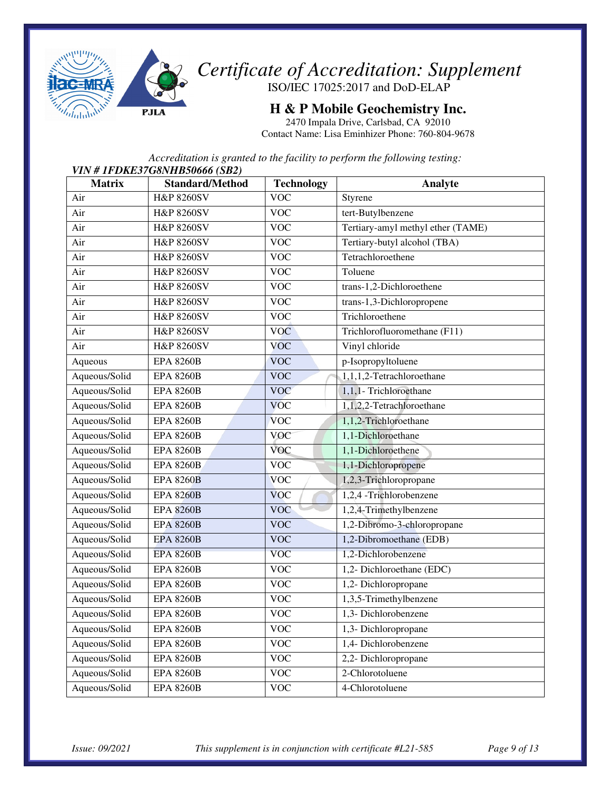

ISO/IEC 17025:2017 and DoD-ELAP

#### **H & P Mobile Geochemistry Inc.**

2470 Impala Drive, Carlsbad, CA 92010 Contact Name: Lisa Eminhizer Phone: 760-804-9678

*Accreditation is granted to the facility to perform the following testing:* 

| <i>VIN # 1FDKE37G8NHB50666 (SB2)</i> |                        |                   |                                   |  |
|--------------------------------------|------------------------|-------------------|-----------------------------------|--|
| <b>Matrix</b>                        | <b>Standard/Method</b> | <b>Technology</b> | Analyte                           |  |
| Air                                  | H&P 8260SV             | <b>VOC</b>        | Styrene                           |  |
| Air                                  | <b>H&amp;P 8260SV</b>  | <b>VOC</b>        | tert-Butylbenzene                 |  |
| Air                                  | <b>H&amp;P 8260SV</b>  | <b>VOC</b>        | Tertiary-amyl methyl ether (TAME) |  |
| Air                                  | H&P 8260SV             | <b>VOC</b>        | Tertiary-butyl alcohol (TBA)      |  |
| Air                                  | <b>H&amp;P 8260SV</b>  | <b>VOC</b>        | Tetrachloroethene                 |  |
| Air                                  | <b>H&amp;P 8260SV</b>  | <b>VOC</b>        | Toluene                           |  |
| Air                                  | <b>H&amp;P 8260SV</b>  | <b>VOC</b>        | trans-1,2-Dichloroethene          |  |
| Air                                  | <b>H&amp;P 8260SV</b>  | <b>VOC</b>        | trans-1,3-Dichloropropene         |  |
| Air                                  | <b>H&amp;P 8260SV</b>  | <b>VOC</b>        | Trichloroethene                   |  |
| Air                                  | H&P 8260SV             | <b>VOC</b>        | Trichlorofluoromethane (F11)      |  |
| Air                                  | H&P 8260SV             | <b>VOC</b>        | Vinyl chloride                    |  |
| Aqueous                              | <b>EPA 8260B</b>       | <b>VOC</b>        | p-Isopropyltoluene                |  |
| Aqueous/Solid                        | <b>EPA 8260B</b>       | <b>VOC</b>        | 1,1,1,2-Tetrachloroethane         |  |
| Aqueous/Solid                        | <b>EPA 8260B</b>       | <b>VOC</b>        | 1,1,1- Trichloroethane            |  |
| Aqueous/Solid                        | <b>EPA 8260B</b>       | <b>VOC</b>        | 1,1,2,2-Tetrachloroethane         |  |
| Aqueous/Solid                        | <b>EPA 8260B</b>       | <b>VOC</b>        | 1,1,2-Trichloroethane             |  |
| Aqueous/Solid                        | <b>EPA 8260B</b>       | <b>VOC</b>        | 1,1-Dichloroethane                |  |
| Aqueous/Solid                        | <b>EPA 8260B</b>       | <b>VOC</b>        | 1,1-Dichloroethene                |  |
| Aqueous/Solid                        | <b>EPA 8260B</b>       | <b>VOC</b>        | 1,1-Dichloropropene               |  |
| Aqueous/Solid                        | <b>EPA 8260B</b>       | <b>VOC</b>        | 1,2,3-Trichloropropane            |  |
| Aqueous/Solid                        | <b>EPA 8260B</b>       | <b>VOC</b>        | 1,2,4 -Trichlorobenzene           |  |
| Aqueous/Solid                        | <b>EPA 8260B</b>       | <b>VOC</b>        | 1,2,4-Trimethylbenzene            |  |
| Aqueous/Solid                        | <b>EPA 8260B</b>       | <b>VOC</b>        | 1,2-Dibromo-3-chloropropane       |  |
| Aqueous/Solid                        | <b>EPA 8260B</b>       | <b>VOC</b>        | 1,2-Dibromoethane (EDB)           |  |
| Aqueous/Solid                        | <b>EPA 8260B</b>       | <b>VOC</b>        | 1,2-Dichlorobenzene               |  |
| Aqueous/Solid                        | <b>EPA 8260B</b>       | <b>VOC</b>        | 1,2- Dichloroethane (EDC)         |  |
| Aqueous/Solid                        | <b>EPA 8260B</b>       | <b>VOC</b>        | 1,2- Dichloropropane              |  |
| Aqueous/Solid                        | <b>EPA 8260B</b>       | <b>VOC</b>        | 1,3,5-Trimethylbenzene            |  |
| Aqueous/Solid                        | <b>EPA 8260B</b>       | <b>VOC</b>        | 1,3- Dichlorobenzene              |  |
| Aqueous/Solid                        | <b>EPA 8260B</b>       | <b>VOC</b>        | 1,3- Dichloropropane              |  |
| Aqueous/Solid                        | <b>EPA 8260B</b>       | <b>VOC</b>        | 1,4- Dichlorobenzene              |  |
| Aqueous/Solid                        | <b>EPA 8260B</b>       | <b>VOC</b>        | 2,2- Dichloropropane              |  |
| Aqueous/Solid                        | <b>EPA 8260B</b>       | <b>VOC</b>        | 2-Chlorotoluene                   |  |
| Aqueous/Solid                        | <b>EPA 8260B</b>       | <b>VOC</b>        | 4-Chlorotoluene                   |  |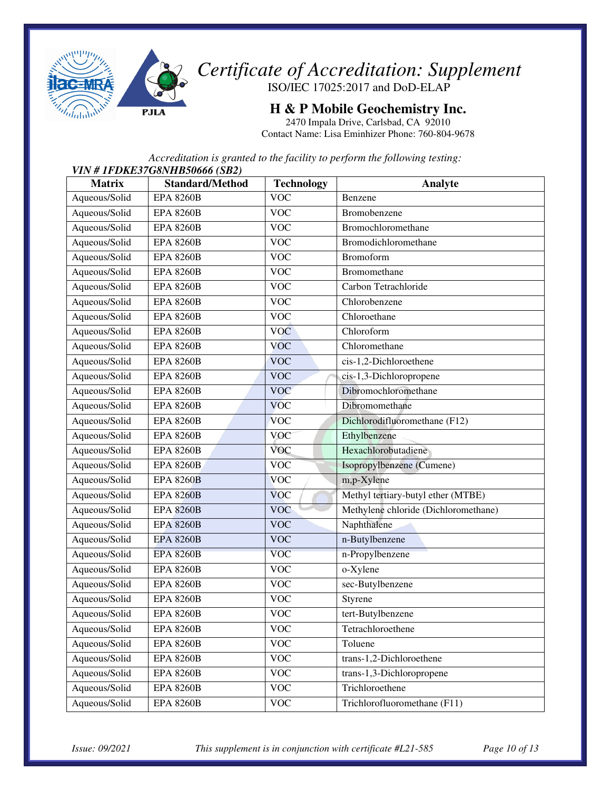

ISO/IEC 17025:2017 and DoD-ELAP

**H & P Mobile Geochemistry Inc.** 

2470 Impala Drive, Carlsbad, CA 92010 Contact Name: Lisa Eminhizer Phone: 760-804-9678

*Accreditation is granted to the facility to perform the following testing:* 

| <i>VIN # 1FDKE37G8NHB50666 (SB2)</i> |                        |                   |                                      |  |
|--------------------------------------|------------------------|-------------------|--------------------------------------|--|
| <b>Matrix</b>                        | <b>Standard/Method</b> | <b>Technology</b> | Analyte                              |  |
| Aqueous/Solid                        | <b>EPA 8260B</b>       | <b>VOC</b>        | Benzene                              |  |
| Aqueous/Solid                        | <b>EPA 8260B</b>       | <b>VOC</b>        | Bromobenzene                         |  |
| Aqueous/Solid                        | <b>EPA 8260B</b>       | <b>VOC</b>        | Bromochloromethane                   |  |
| Aqueous/Solid                        | <b>EPA 8260B</b>       | <b>VOC</b>        | Bromodichloromethane                 |  |
| Aqueous/Solid                        | <b>EPA 8260B</b>       | <b>VOC</b>        | Bromoform                            |  |
| Aqueous/Solid                        | <b>EPA 8260B</b>       | <b>VOC</b>        | Bromomethane                         |  |
| Aqueous/Solid                        | <b>EPA 8260B</b>       | <b>VOC</b>        | Carbon Tetrachloride                 |  |
| Aqueous/Solid                        | <b>EPA 8260B</b>       | <b>VOC</b>        | Chlorobenzene                        |  |
| Aqueous/Solid                        | <b>EPA 8260B</b>       | <b>VOC</b>        | Chloroethane                         |  |
| Aqueous/Solid                        | <b>EPA 8260B</b>       | <b>VOC</b>        | Chloroform                           |  |
| Aqueous/Solid                        | <b>EPA 8260B</b>       | <b>VOC</b>        | Chloromethane                        |  |
| Aqueous/Solid                        | <b>EPA 8260B</b>       | <b>VOC</b>        | cis-1,2-Dichloroethene               |  |
| Aqueous/Solid                        | <b>EPA 8260B</b>       | <b>VOC</b>        | cis-1,3-Dichloropropene              |  |
| Aqueous/Solid                        | <b>EPA 8260B</b>       | <b>VOC</b>        | Dibromochloromethane                 |  |
| Aqueous/Solid                        | <b>EPA 8260B</b>       | <b>VOC</b>        | Dibromomethane                       |  |
| Aqueous/Solid                        | <b>EPA 8260B</b>       | <b>VOC</b>        | Dichlorodifluoromethane (F12)        |  |
| Aqueous/Solid                        | <b>EPA 8260B</b>       | <b>VOC</b>        | Ethylbenzene                         |  |
| Aqueous/Solid                        | <b>EPA 8260B</b>       | <b>VOC</b>        | Hexachlorobutadiene                  |  |
| Aqueous/Solid                        | <b>EPA 8260B</b>       | <b>VOC</b>        | Isopropylbenzene (Cumene)            |  |
| Aqueous/Solid                        | <b>EPA 8260B</b>       | <b>VOC</b>        | m,p-Xylene                           |  |
| Aqueous/Solid                        | <b>EPA 8260B</b>       | <b>VOC</b>        | Methyl tertiary-butyl ether (MTBE)   |  |
| Aqueous/Solid                        | <b>EPA 8260B</b>       | <b>VOC</b>        | Methylene chloride (Dichloromethane) |  |
| Aqueous/Solid                        | <b>EPA 8260B</b>       | <b>VOC</b>        | Naphthalene                          |  |
| Aqueous/Solid                        | <b>EPA 8260B</b>       | <b>VOC</b>        | n-Butylbenzene                       |  |
| Aqueous/Solid                        | <b>EPA 8260B</b>       | <b>VOC</b>        | n-Propylbenzene                      |  |
| Aqueous/Solid                        | <b>EPA 8260B</b>       | <b>VOC</b>        | o-Xylene                             |  |
| Aqueous/Solid                        | <b>EPA 8260B</b>       | <b>VOC</b>        | sec-Butylbenzene                     |  |
| Aqueous/Solid                        | <b>EPA 8260B</b>       | <b>VOC</b>        | Styrene                              |  |
| Aqueous/Solid                        | <b>EPA 8260B</b>       | <b>VOC</b>        | tert-Butylbenzene                    |  |
| Aqueous/Solid                        | <b>EPA 8260B</b>       | <b>VOC</b>        | Tetrachloroethene                    |  |
| Aqueous/Solid                        | <b>EPA 8260B</b>       | <b>VOC</b>        | Toluene                              |  |
| Aqueous/Solid                        | <b>EPA 8260B</b>       | <b>VOC</b>        | trans-1,2-Dichloroethene             |  |
| Aqueous/Solid                        | <b>EPA 8260B</b>       | <b>VOC</b>        | trans-1,3-Dichloropropene            |  |
| Aqueous/Solid                        | <b>EPA 8260B</b>       | <b>VOC</b>        | Trichloroethene                      |  |
| Aqueous/Solid                        | <b>EPA 8260B</b>       | <b>VOC</b>        | Trichlorofluoromethane (F11)         |  |

*Issue: 09/2021 This supplement is in conjunction with certificate #L21-585 Page 10 of 13*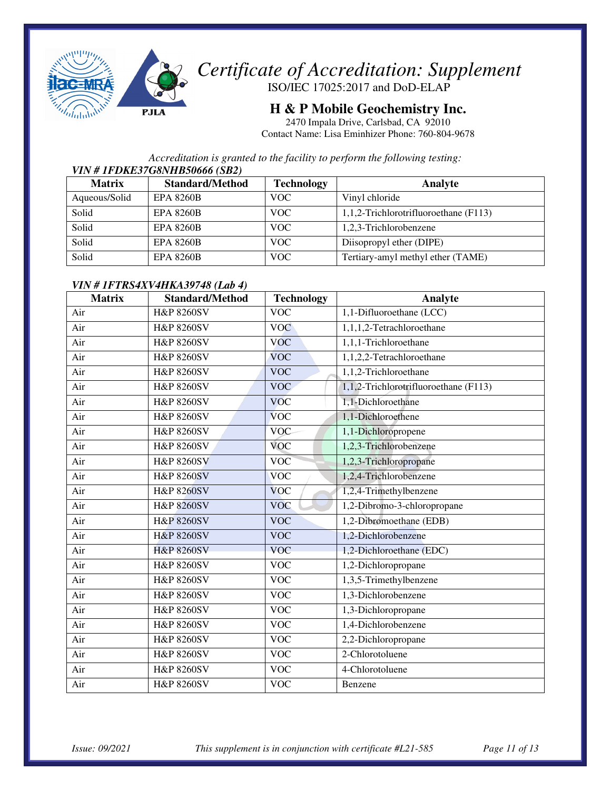

ISO/IEC 17025:2017 and DoD-ELAP

## **H & P Mobile Geochemistry Inc.**

2470 Impala Drive, Carlsbad, CA 92010 Contact Name: Lisa Eminhizer Phone: 760-804-9678

*Accreditation is granted to the facility to perform the following testing:* 

#### *VIN # 1FDKE37G8NHB50666 (SB2)*

| <b>Matrix</b> | <b>Standard/Method</b> | <b>Technology</b> | Analyte                               |
|---------------|------------------------|-------------------|---------------------------------------|
| Aqueous/Solid | <b>EPA 8260B</b>       | <b>VOC</b>        | Vinyl chloride                        |
| Solid         | <b>EPA 8260B</b>       | <b>VOC</b>        | 1,1,2-Trichlorotrifluoroethane (F113) |
| Solid         | <b>EPA 8260B</b>       | <b>VOC</b>        | 1,2,3-Trichlorobenzene                |
| Solid         | <b>EPA 8260B</b>       | <b>VOC</b>        | Diisopropyl ether (DIPE)              |
| Solid         | <b>EPA 8260B</b>       | <b>VOC</b>        | Tertiary-amyl methyl ether (TAME)     |

#### *VIN # 1FTRS4XV4HKA39748 (Lab 4)*

| <b>Matrix</b> | <b>Standard/Method</b> | <b>Technology</b> | Analyte                               |
|---------------|------------------------|-------------------|---------------------------------------|
| Air           | <b>H&amp;P 8260SV</b>  | <b>VOC</b>        | 1,1-Difluoroethane (LCC)              |
| Air           | <b>H&amp;P 8260SV</b>  | <b>VOC</b>        | 1,1,1,2-Tetrachloroethane             |
| Air           | <b>H&amp;P 8260SV</b>  | <b>VOC</b>        | 1,1,1-Trichloroethane                 |
| Air           | <b>H&amp;P 8260SV</b>  | <b>VOC</b>        | 1,1,2,2-Tetrachloroethane             |
| Air           | <b>H&amp;P 8260SV</b>  | <b>VOC</b>        | 1,1,2-Trichloroethane                 |
| Air           | <b>H&amp;P 8260SV</b>  | <b>VOC</b>        | 1,1,2-Trichlorotrifluoroethane (F113) |
| Air           | <b>H&amp;P 8260SV</b>  | <b>VOC</b>        | 1,1-Dichloroethane                    |
| Air           | <b>H&amp;P 8260SV</b>  | <b>VOC</b>        | 1,1-Dichloroethene                    |
| Air           | <b>H&amp;P 8260SV</b>  | <b>VOC</b>        | 1,1-Dichloropropene                   |
| Air           | <b>H&amp;P 8260SV</b>  | <b>VOC</b>        | 1,2,3-Trichlorobenzene                |
| Air           | <b>H&amp;P 8260SV</b>  | <b>VOC</b>        | 1,2,3-Trichloropropane                |
| Air           | <b>H&amp;P 8260SV</b>  | <b>VOC</b>        | 1,2,4-Trichlorobenzene                |
| Air           | <b>H&amp;P 8260SV</b>  | <b>VOC</b>        | 1,2,4-Trimethylbenzene                |
| Air           | <b>H&amp;P 8260SV</b>  | <b>VOC</b>        | 1,2-Dibromo-3-chloropropane           |
| Air           | <b>H&amp;P 8260SV</b>  | <b>VOC</b>        | 1,2-Dibromoethane (EDB)               |
| Air           | <b>H&amp;P 8260SV</b>  | <b>VOC</b>        | 1,2-Dichlorobenzene                   |
| Air           | <b>H&amp;P 8260SV</b>  | <b>VOC</b>        | 1,2-Dichloroethane (EDC)              |
| Air           | <b>H&amp;P 8260SV</b>  | <b>VOC</b>        | 1,2-Dichloropropane                   |
| Air           | <b>H&amp;P 8260SV</b>  | <b>VOC</b>        | 1,3,5-Trimethylbenzene                |
| Air           | <b>H&amp;P 8260SV</b>  | <b>VOC</b>        | 1,3-Dichlorobenzene                   |
| Air           | <b>H&amp;P 8260SV</b>  | <b>VOC</b>        | 1,3-Dichloropropane                   |
| Air           | <b>H&amp;P 8260SV</b>  | <b>VOC</b>        | 1,4-Dichlorobenzene                   |
| Air           | <b>H&amp;P 8260SV</b>  | <b>VOC</b>        | 2,2-Dichloropropane                   |
| Air           | <b>H&amp;P 8260SV</b>  | <b>VOC</b>        | 2-Chlorotoluene                       |
| Air           | <b>H&amp;P 8260SV</b>  | <b>VOC</b>        | 4-Chlorotoluene                       |
| Air           | <b>H&amp;P 8260SV</b>  | <b>VOC</b>        | Benzene                               |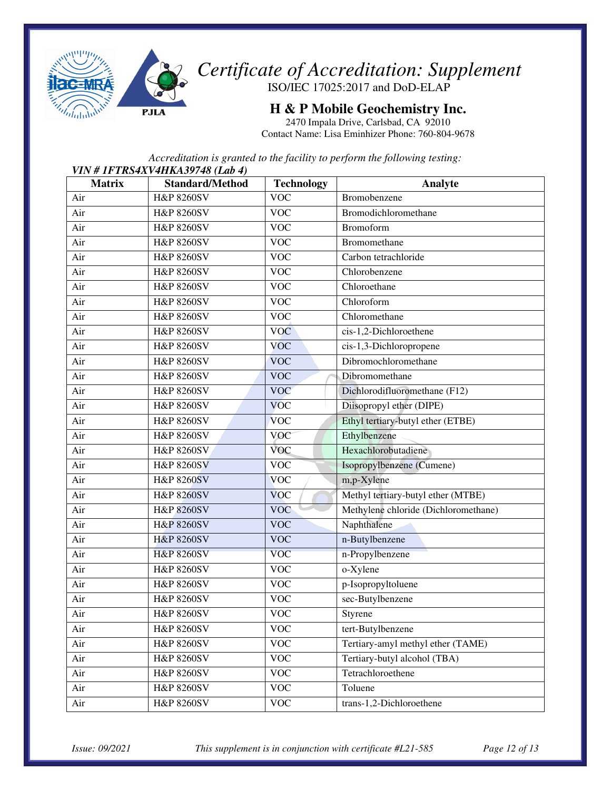

ISO/IEC 17025:2017 and DoD-ELAP

**H & P Mobile Geochemistry Inc.** 

2470 Impala Drive, Carlsbad, CA 92010 Contact Name: Lisa Eminhizer Phone: 760-804-9678

*Accreditation is granted to the facility to perform the following testing:* 

| VIN # 1FTRS4XV4HKA39748 (Lab 4) |                        |                   |                                      |  |  |  |
|---------------------------------|------------------------|-------------------|--------------------------------------|--|--|--|
| <b>Matrix</b>                   | <b>Standard/Method</b> | <b>Technology</b> | <b>Analyte</b>                       |  |  |  |
| Air                             | H&P 8260SV             | <b>VOC</b>        | Bromobenzene                         |  |  |  |
| Air                             | <b>H&amp;P 8260SV</b>  | <b>VOC</b>        | Bromodichloromethane                 |  |  |  |
| Air                             | <b>H&amp;P 8260SV</b>  | <b>VOC</b>        | Bromoform                            |  |  |  |
| Air                             | <b>H&amp;P 8260SV</b>  | <b>VOC</b>        | Bromomethane                         |  |  |  |
| Air                             | <b>H&amp;P 8260SV</b>  | <b>VOC</b>        | Carbon tetrachloride                 |  |  |  |
| Air                             | <b>H&amp;P 8260SV</b>  | <b>VOC</b>        | Chlorobenzene                        |  |  |  |
| Air                             | <b>H&amp;P 8260SV</b>  | <b>VOC</b>        | Chloroethane                         |  |  |  |
| Air                             | <b>H&amp;P 8260SV</b>  | <b>VOC</b>        | Chloroform                           |  |  |  |
| Air                             | <b>H&amp;P 8260SV</b>  | <b>VOC</b>        | Chloromethane                        |  |  |  |
| Air                             | <b>H&amp;P 8260SV</b>  | <b>VOC</b>        | cis-1,2-Dichloroethene               |  |  |  |
| Air                             | H&P 8260SV             | <b>VOC</b>        | cis-1,3-Dichloropropene              |  |  |  |
| Air                             | <b>H&amp;P 8260SV</b>  | <b>VOC</b>        | Dibromochloromethane                 |  |  |  |
| Air                             | <b>H&amp;P 8260SV</b>  | <b>VOC</b>        | Dibromomethane                       |  |  |  |
| Air                             | H&P 8260SV             | <b>VOC</b>        | Dichlorodifluoromethane (F12)        |  |  |  |
| Air                             | H&P 8260SV             | <b>VOC</b>        | Diisopropyl ether (DIPE)             |  |  |  |
| Air                             | <b>H&amp;P 8260SV</b>  | <b>VOC</b>        | Ethyl tertiary-butyl ether (ETBE)    |  |  |  |
| Air                             | <b>H&amp;P 8260SV</b>  | <b>VOC</b>        | Ethylbenzene                         |  |  |  |
| Air                             | H&P 8260SV             | <b>VOC</b>        | Hexachlorobutadiene                  |  |  |  |
| Air                             | <b>H&amp;P 8260SV</b>  | <b>VOC</b>        | Isopropylbenzene (Cumene)            |  |  |  |
| Air                             | <b>H&amp;P 8260SV</b>  | <b>VOC</b>        | m,p-Xylene                           |  |  |  |
| Air                             | <b>H&amp;P 8260SV</b>  | <b>VOC</b>        | Methyl tertiary-butyl ether (MTBE)   |  |  |  |
| Air                             | <b>H&amp;P 8260SV</b>  | <b>VOC</b>        | Methylene chloride (Dichloromethane) |  |  |  |
| Air                             | <b>H&amp;P 8260SV</b>  | <b>VOC</b>        | Naphthalene                          |  |  |  |
| Air                             | <b>H&amp;P 8260SV</b>  | <b>VOC</b>        | n-Butylbenzene                       |  |  |  |
| Air                             | <b>H&amp;P 8260SV</b>  | <b>VOC</b>        | n-Propylbenzene                      |  |  |  |
| Air                             | <b>H&amp;P 8260SV</b>  | <b>VOC</b>        | o-Xylene                             |  |  |  |
| Air                             | <b>H&amp;P 8260SV</b>  | <b>VOC</b>        | p-Isopropyltoluene                   |  |  |  |
| Air                             | <b>H&amp;P 8260SV</b>  | <b>VOC</b>        | sec-Butylbenzene                     |  |  |  |
| Air                             | <b>H&amp;P 8260SV</b>  | <b>VOC</b>        | Styrene                              |  |  |  |
| Air                             | H&P 8260SV             | <b>VOC</b>        | tert-Butylbenzene                    |  |  |  |
| Air                             | <b>H&amp;P 8260SV</b>  | <b>VOC</b>        | Tertiary-amyl methyl ether (TAME)    |  |  |  |
| Air                             | H&P 8260SV             | <b>VOC</b>        | Tertiary-butyl alcohol (TBA)         |  |  |  |
| Air                             | H&P 8260SV             | <b>VOC</b>        | Tetrachloroethene                    |  |  |  |
| Air                             | <b>H&amp;P 8260SV</b>  | <b>VOC</b>        | Toluene                              |  |  |  |
| Air                             | <b>H&amp;P 8260SV</b>  | <b>VOC</b>        | trans-1,2-Dichloroethene             |  |  |  |